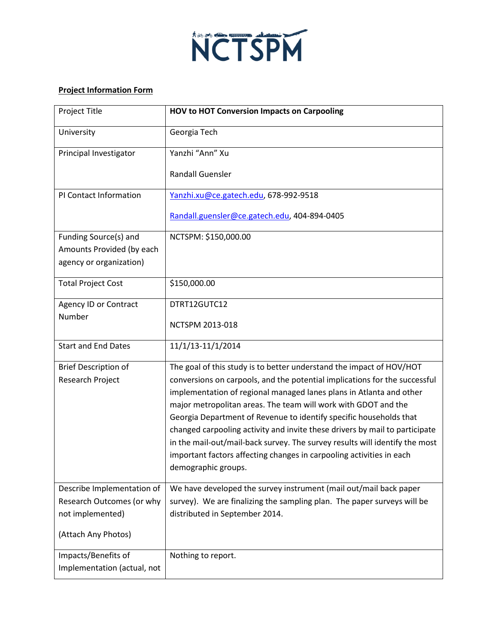

## **Project Information Form**

| Project Title                                        | <b>HOV to HOT Conversion Impacts on Carpooling</b>                                                                                                         |
|------------------------------------------------------|------------------------------------------------------------------------------------------------------------------------------------------------------------|
| University                                           | Georgia Tech                                                                                                                                               |
| Principal Investigator                               | Yanzhi "Ann" Xu                                                                                                                                            |
|                                                      | <b>Randall Guensler</b>                                                                                                                                    |
| PI Contact Information                               | Yanzhi.xu@ce.gatech.edu, 678-992-9518                                                                                                                      |
|                                                      | Randall.guensler@ce.gatech.edu, 404-894-0405                                                                                                               |
| Funding Source(s) and                                | NCTSPM: \$150,000.00                                                                                                                                       |
| Amounts Provided (by each<br>agency or organization) |                                                                                                                                                            |
| <b>Total Project Cost</b>                            | \$150,000.00                                                                                                                                               |
| Agency ID or Contract                                | DTRT12GUTC12                                                                                                                                               |
| Number                                               | NCTSPM 2013-018                                                                                                                                            |
| <b>Start and End Dates</b>                           | 11/1/13-11/1/2014                                                                                                                                          |
| <b>Brief Description of</b>                          | The goal of this study is to better understand the impact of HOV/HOT                                                                                       |
| Research Project                                     | conversions on carpools, and the potential implications for the successful                                                                                 |
|                                                      | implementation of regional managed lanes plans in Atlanta and other                                                                                        |
|                                                      | major metropolitan areas. The team will work with GDOT and the                                                                                             |
|                                                      | Georgia Department of Revenue to identify specific households that                                                                                         |
|                                                      | changed carpooling activity and invite these drivers by mail to participate<br>in the mail-out/mail-back survey. The survey results will identify the most |
|                                                      | important factors affecting changes in carpooling activities in each                                                                                       |
|                                                      | demographic groups.                                                                                                                                        |
| Describe Implementation of                           | We have developed the survey instrument (mail out/mail back paper                                                                                          |
| Research Outcomes (or why                            | survey). We are finalizing the sampling plan. The paper surveys will be                                                                                    |
| not implemented)                                     | distributed in September 2014.                                                                                                                             |
| (Attach Any Photos)                                  |                                                                                                                                                            |
| Impacts/Benefits of                                  | Nothing to report.                                                                                                                                         |
| Implementation (actual, not                          |                                                                                                                                                            |